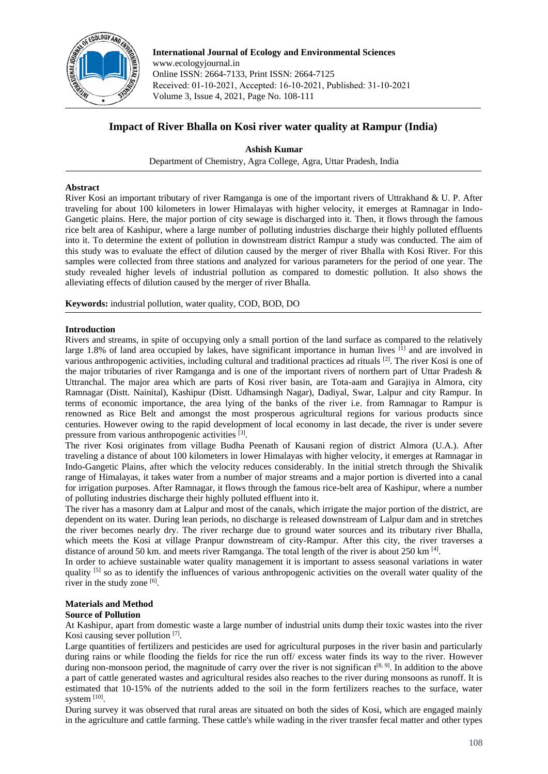

**International Journal of Ecology and Environmental Sciences**  www.ecologyjournal.in Online ISSN: 2664-7133, Print ISSN: 2664-7125 Received: 01-10-2021, Accepted: 16-10-2021, Published: 31-10-2021 Volume 3, Issue 4, 2021, Page No. 108-111

# **Impact of River Bhalla on Kosi river water quality at Rampur (India)**

**Ashish Kumar** 

Department of Chemistry, Agra College, Agra, Uttar Pradesh, India

## **Abstract**

River Kosi an important tributary of river Ramganga is one of the important rivers of Uttrakhand & U. P. After traveling for about 100 kilometers in lower Himalayas with higher velocity, it emerges at Ramnagar in Indo-Gangetic plains. Here, the major portion of city sewage is discharged into it. Then, it flows through the famous rice belt area of Kashipur, where a large number of polluting industries discharge their highly polluted effluents into it. To determine the extent of pollution in downstream district Rampur a study was conducted. The aim of this study was to evaluate the effect of dilution caused by the merger of river Bhalla with Kosi River. For this samples were collected from three stations and analyzed for various parameters for the period of one year. The study revealed higher levels of industrial pollution as compared to domestic pollution. It also shows the alleviating effects of dilution caused by the merger of river Bhalla.

**Keywords:** industrial pollution, water quality, COD, BOD, DO

## **Introduction**

Rivers and streams, in spite of occupying only a small portion of the land surface as compared to the relatively large 1.8% of land area occupied by lakes, have significant importance in human lives <sup>[1]</sup> and are involved in various anthropogenic activities, including cultural and traditional practices ad rituals [2]. The river Kosi is one of the major tributaries of river Ramganga and is one of the important rivers of northern part of Uttar Pradesh & Uttranchal. The major area which are parts of Kosi river basin, are Tota-aam and Garajiya in Almora, city Ramnagar (Distt. Nainital), Kashipur (Distt. Udhamsingh Nagar), Dadiyal, Swar, Lalpur and city Rampur. In terms of economic importance, the area lying of the banks of the river i.e. from Ramnagar to Rampur is renowned as Rice Belt and amongst the most prosperous agricultural regions for various products since centuries. However owing to the rapid development of local economy in last decade, the river is under severe pressure from various anthropogenic activities [3].

The river Kosi originates from village Budha Peenath of Kausani region of district Almora (U.A.). After traveling a distance of about 100 kilometers in lower Himalayas with higher velocity, it emerges at Ramnagar in Indo-Gangetic Plains, after which the velocity reduces considerably. In the initial stretch through the Shivalik range of Himalayas, it takes water from a number of major streams and a major portion is diverted into a canal for irrigation purposes. After Ramnagar, it flows through the famous rice-belt area of Kashipur, where a number of polluting industries discharge their highly polluted effluent into it.

The river has a masonry dam at Lalpur and most of the canals, which irrigate the major portion of the district, are dependent on its water. During lean periods, no discharge is released downstream of Lalpur dam and in stretches the river becomes nearly dry. The river recharge due to ground water sources and its tributary river Bhalla, which meets the Kosi at village Pranpur downstream of city-Rampur. After this city, the river traverses a distance of around 50 km. and meets river Ramganga. The total length of the river is about 250 km [4].

In order to achieve sustainable water quality management it is important to assess seasonal variations in water quality  $[5]$  so as to identify the influences of various anthropogenic activities on the overall water quality of the river in the study zone [6].

## **Materials and Method**

## **Source of Pollution**

At Kashipur, apart from domestic waste a large number of industrial units dump their toxic wastes into the river Kosi causing sever pollution [7].

Large quantities of fertilizers and pesticides are used for agricultural purposes in the river basin and particularly during rains or while flooding the fields for rice the run off/ excess water finds its way to the river. However during non-monsoon period, the magnitude of carry over the river is not significan  $t^{[8, 9]}$ . In addition to the above a part of cattle generated wastes and agricultural resides also reaches to the river during monsoons as runoff. It is estimated that 10-15% of the nutrients added to the soil in the form fertilizers reaches to the surface, water system  $^{[10]}$ .

During survey it was observed that rural areas are situated on both the sides of Kosi, which are engaged mainly in the agriculture and cattle farming. These cattle's while wading in the river transfer fecal matter and other types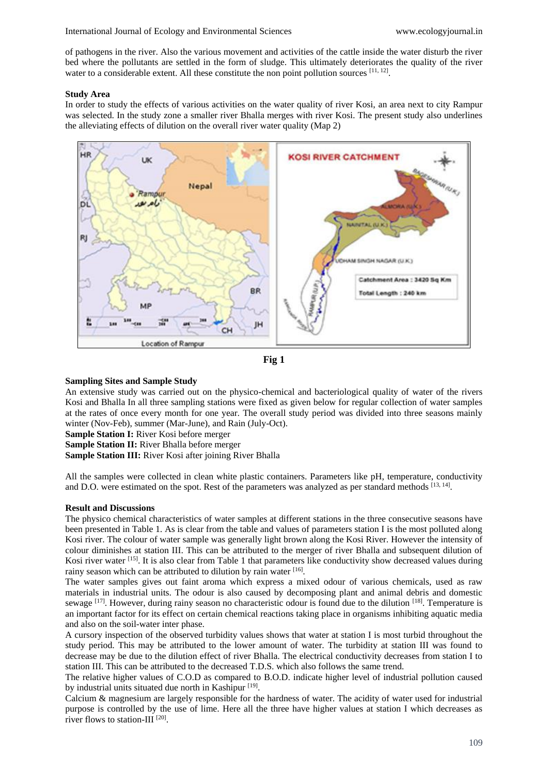of pathogens in the river. Also the various movement and activities of the cattle inside the water disturb the river bed where the pollutants are settled in the form of sludge. This ultimately deteriorates the quality of the river water to a considerable extent. All these constitute the non point pollution sources [11, 12].

#### **Study Area**

In order to study the effects of various activities on the water quality of river Kosi, an area next to city Rampur was selected. In the study zone a smaller river Bhalla merges with river Kosi. The present study also underlines the alleviating effects of dilution on the overall river water quality (Map 2)





## **Sampling Sites and Sample Study**

An extensive study was carried out on the physico-chemical and bacteriological quality of water of the rivers Kosi and Bhalla In all three sampling stations were fixed as given below for regular collection of water samples at the rates of once every month for one year. The overall study period was divided into three seasons mainly winter (Nov-Feb), summer (Mar-June), and Rain (July-Oct).

**Sample Station I:** River Kosi before merger

**Sample Station II:** River Bhalla before merger

**Sample Station III:** River Kosi after joining River Bhalla

All the samples were collected in clean white plastic containers. Parameters like pH, temperature, conductivity and D.O. were estimated on the spot. Rest of the parameters was analyzed as per standard methods [13, 14].

## **Result and Discussions**

The physico chemical characteristics of water samples at different stations in the three consecutive seasons have been presented in Table 1. As is clear from the table and values of parameters station I is the most polluted along Kosi river. The colour of water sample was generally light brown along the Kosi River. However the intensity of colour diminishes at station III. This can be attributed to the merger of river Bhalla and subsequent dilution of Kosi river water [15]. It is also clear from Table 1 that parameters like conductivity show decreased values during rainy season which can be attributed to dilution by rain water [16].

The water samples gives out faint aroma which express a mixed odour of various chemicals, used as raw materials in industrial units. The odour is also caused by decomposing plant and animal debris and domestic sewage [17]. However, during rainy season no characteristic odour is found due to the dilution [18]. Temperature is an important factor for its effect on certain chemical reactions taking place in organisms inhibiting aquatic media and also on the soil-water inter phase.

A cursory inspection of the observed turbidity values shows that water at station I is most turbid throughout the study period. This may be attributed to the lower amount of water. The turbidity at station III was found to decrease may be due to the dilution effect of river Bhalla. The electrical conductivity decreases from station I to station III. This can be attributed to the decreased T.D.S. which also follows the same trend.

The relative higher values of C.O.D as compared to B.O.D. indicate higher level of industrial pollution caused by industrial units situated due north in Kashipur<sup>[19]</sup>.

Calcium & magnesium are largely responsible for the hardness of water. The acidity of water used for industrial purpose is controlled by the use of lime. Here all the three have higher values at station I which decreases as river flows to station-III<sup>[20]</sup>.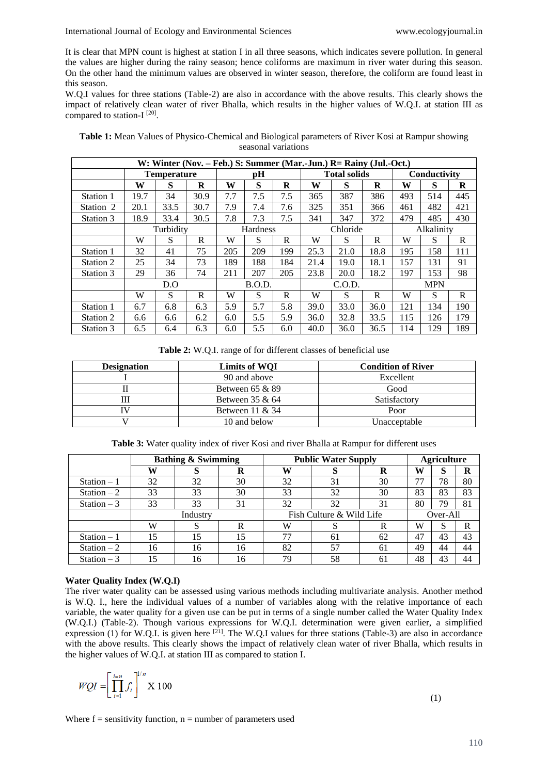#### International Journal of Ecology and Environmental Sciences www.ecologyjournal.in

It is clear that MPN count is highest at station I in all three seasons, which indicates severe pollution. In general the values are higher during the rainy season; hence coliforms are maximum in river water during this season. On the other hand the minimum values are observed in winter season, therefore, the coliform are found least in this season.

W.Q.I values for three stations (Table-2) are also in accordance with the above results. This clearly shows the impact of relatively clean water of river Bhalla, which results in the higher values of W.Q.I. at station III as compared to station- $I^{[20]}$ .

| W: Winter (Nov. – Feb.) S: Summer (Mar.-Jun.) R= Rainy (Jul.-Oct.) |                    |      |      |                 |     |     |                     |      |      |              |     |         |
|--------------------------------------------------------------------|--------------------|------|------|-----------------|-----|-----|---------------------|------|------|--------------|-----|---------|
|                                                                    | <b>Temperature</b> |      |      | рH              |     |     | <b>Total solids</b> |      |      | Conductivity |     |         |
|                                                                    | W                  | S    | R    | W               | S   | R   | W                   | S    | R    | W            | S   | $\bf R$ |
| Station 1                                                          | 19.7               | 34   | 30.9 | 7.7             | 7.5 | 7.5 | 365                 | 387  | 386  | 493          | 514 | 445     |
| Station 2                                                          | 20.1               | 33.5 | 30.7 | 7.9             | 7.4 | 7.6 | 325                 | 351  | 366  | 461          | 482 | 421     |
| Station 3                                                          | 18.9               | 33.4 | 30.5 | 7.8             | 7.3 | 7.5 | 341                 | 347  | 372  | 479          | 485 | 430     |
|                                                                    | Turbidity          |      |      | <b>Hardness</b> |     |     | Chloride            |      |      | Alkalinity   |     |         |
|                                                                    | W                  | S    | R    | W               | S   | R   | W                   | S    | R    | W            | S   | R       |
| Station 1                                                          | 32                 | 41   | 75   | 205             | 209 | 199 | 25.3                | 21.0 | 18.8 | 195          | 158 | 111     |
| Station 2                                                          | 25                 | 34   | 73   | 189             | 188 | 184 | 21.4                | 19.0 | 18.1 | 157          | 131 | 91      |
| Station 3                                                          | 29                 | 36   | 74   | 211             | 207 | 205 | 23.8                | 20.0 | 18.2 | 197          | 153 | 98      |
|                                                                    | D.0                |      |      | B.O.D.          |     |     | C.O.D.              |      |      | <b>MPN</b>   |     |         |
|                                                                    | W                  | S    | R    | W               | S   | R   | W                   | S    | R    | W            | S   | R       |
| Station 1                                                          | 6.7                | 6.8  | 6.3  | 5.9             | 5.7 | 5.8 | 39.0                | 33.0 | 36.0 | 121          | 134 | 190     |
| Station 2                                                          | 6.6                | 6.6  | 6.2  | 6.0             | 5.5 | 5.9 | 36.0                | 32.8 | 33.5 | 115          | 126 | 179     |
| Station 3                                                          | 6.5                | 6.4  | 6.3  | 6.0             | 5.5 | 6.0 | 40.0                | 36.0 | 36.5 | 114          | 129 | 189     |

| Table 1: Mean Values of Physico-Chemical and Biological parameters of River Kosi at Rampur showing |
|----------------------------------------------------------------------------------------------------|
| seasonal variations                                                                                |

**Table 2:** W.Q.I. range of for different classes of beneficial use

| <b>Designation</b> | Limits of WOI      | <b>Condition of River</b> |
|--------------------|--------------------|---------------------------|
|                    | 90 and above       | Excellent                 |
|                    | Between $65 & 89$  | Good                      |
| Ш                  | Between $35 & 64$  | Satisfactory              |
|                    | Between $11 \& 34$ | Poor                      |
|                    | 10 and below       | Unacceptable              |

| Table 3: Water quality index of river Kosi and river Bhalla at Rampur for different uses |  |
|------------------------------------------------------------------------------------------|--|
|------------------------------------------------------------------------------------------|--|

|              |    | <b>Bathing &amp; Swimming</b> |    | <b>Public Water Supply</b> |    |     |    | <b>Agriculture</b> |    |  |
|--------------|----|-------------------------------|----|----------------------------|----|-----|----|--------------------|----|--|
|              | W  |                               | R  | W                          | Ø  | R   | W  | c<br>Ю             | R  |  |
| Station $-1$ | 32 | 32                            | 30 | 32                         | 31 | 30  | 77 | 78                 | 80 |  |
| Station $-2$ | 33 | 33                            | 30 | 33                         | 32 | 30  | 83 | 83                 | 83 |  |
| Station $-3$ | 33 | 33                            | 31 | 32                         | 32 | 31  | 80 | 79                 | 81 |  |
|              |    | Industry                      |    | Fish Culture & Wild Life   |    |     |    | Over-All           |    |  |
|              | W  |                               | R  | W                          | د  | R   | W  | S                  | R  |  |
| Station $-1$ | 15 | 15                            | 15 | 77                         | 61 | 62  | 47 | 43                 | 43 |  |
| Station $-2$ | 16 | 16                            | 16 | 82                         | 57 | -61 | 49 | 44                 | 44 |  |
| Station $-3$ | 15 | 16                            | 16 | 79                         | 58 | 61  | 48 | 43                 | 44 |  |

## **Water Quality Index (W.Q.I)**

The river water quality can be assessed using various methods including multivariate analysis. Another method is W.Q. I., here the individual values of a number of variables along with the relative importance of each variable, the water quality for a given use can be put in terms of a single number called the Water Quality Index (W.Q.I.) (Table-2). Though various expressions for W.Q.I. determination were given earlier, a simplified expression (1) for W.Q.I. is given here  $[21]$ . The W.Q.I values for three stations (Table-3) are also in accordance with the above results. This clearly shows the impact of relatively clean water of river Bhalla, which results in the higher values of W.Q.I. at station III as compared to station I.

$$
WQI = \left[\prod_{i=1}^{i=n} f_i\right]^{1/n} \ge 100
$$

(1)